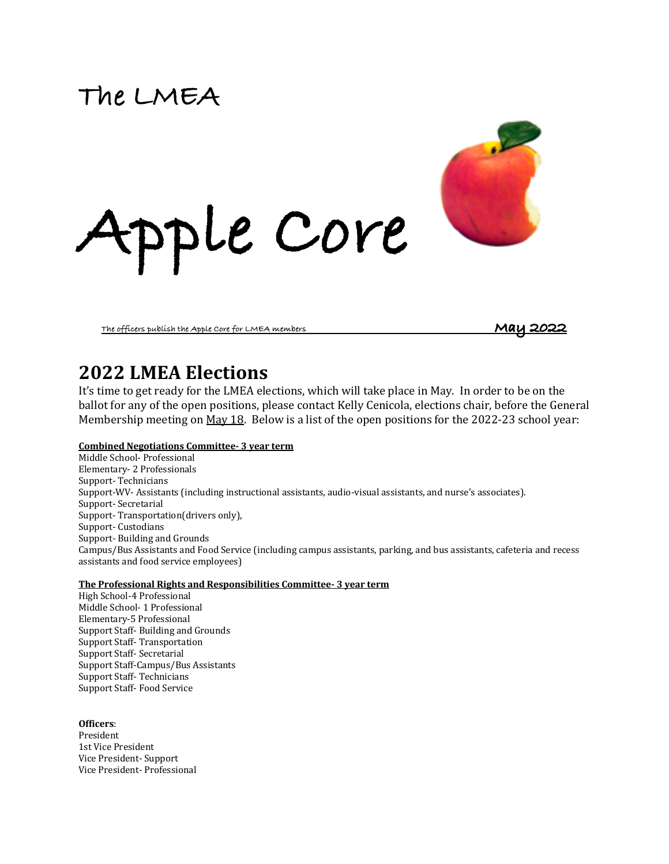# **The LMEA**



**The officers publish the Apple Core for LMEA members** 

### **2022 LMEA Elections**

It's time to get ready for the LMEA elections, which will take place in May. In order to be on the ballot for any of the open positions, please contact Kelly Cenicola, elections chair, before the General Membership meeting on  $\frac{May 18}{.}$  Below is a list of the open positions for the 2022-23 school year:

#### **Combined Negotiations Committee- 3 year term**

Middle School- Professional Elementary- 2 Professionals Support- Technicians Support-WV- Assistants (including instructional assistants, audio-visual assistants, and nurse's associates). Support- Secretarial Support-Transportation(drivers only), Support- Custodians Support-Building and Grounds Campus/Bus Assistants and Food Service (including campus assistants, parking, and bus assistants, cafeteria and recess assistants and food service employees)

#### **The Professional Rights and Responsibilities Committee-3 year term**

High School-4 Professional Middle School- 1 Professional Elementary-5 Professional Support Staff- Building and Grounds Support Staff- Transportation Support Staff- Secretarial Support Staff-Campus/Bus Assistants Support Staff- Technicians Support Staff- Food Service

#### **Officers**:

President 1st Vice President Vice President- Support Vice President- Professional